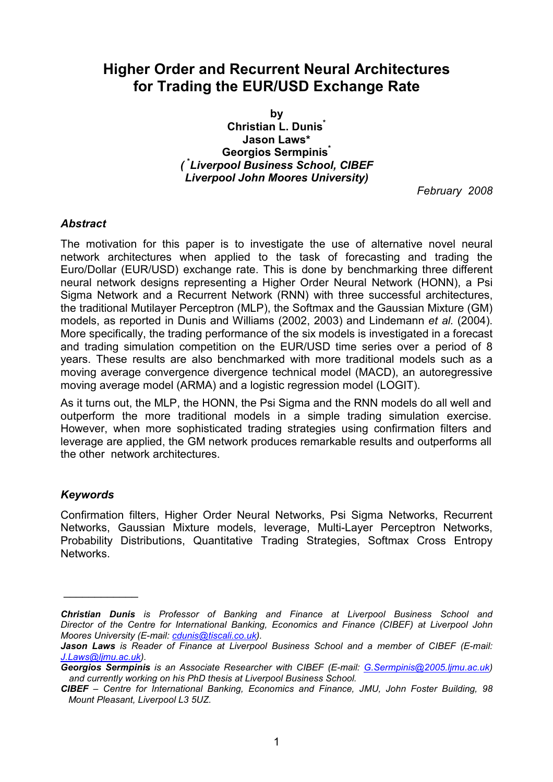# Higher Order and Recurrent Neural Architectures for Trading the EUR/USD Exchange Rate

by Christian L. Dunis\* Jason Laws\* Georgios Sermpinis<sup>\*</sup> ( \* Liverpool Business School, CIBEF Liverpool John Moores University)

February 2008

#### **Abstract**

The motivation for this paper is to investigate the use of alternative novel neural network architectures when applied to the task of forecasting and trading the Euro/Dollar (EUR/USD) exchange rate. This is done by benchmarking three different neural network designs representing a Higher Order Neural Network (HONN), a Psi Sigma Network and a Recurrent Network (RNN) with three successful architectures, the traditional Mutilayer Perceptron (MLP), the Softmax and the Gaussian Mixture (GM) models, as reported in Dunis and Williams (2002, 2003) and Lindemann et al. (2004). More specifically, the trading performance of the six models is investigated in a forecast and trading simulation competition on the EUR/USD time series over a period of 8 years. These results are also benchmarked with more traditional models such as a moving average convergence divergence technical model (MACD), an autoregressive moving average model (ARMA) and a logistic regression model (LOGIT).

As it turns out, the MLP, the HONN, the Psi Sigma and the RNN models do all well and outperform the more traditional models in a simple trading simulation exercise. However, when more sophisticated trading strategies using confirmation filters and leverage are applied, the GM network produces remarkable results and outperforms all the other network architectures.

#### Keywords

 $\frac{1}{2}$ 

Confirmation filters, Higher Order Neural Networks, Psi Sigma Networks, Recurrent Networks, Gaussian Mixture models, leverage, Multi-Layer Perceptron Networks, Probability Distributions, Quantitative Trading Strategies, Softmax Cross Entropy Networks.

Christian Dunis is Professor of Banking and Finance at Liverpool Business School and Director of the Centre for International Banking, Economics and Finance (CIBEF) at Liverpool John Moores University (E-mail: cdunis@tiscali.co.uk).

Jason Laws is Reader of Finance at Liverpool Business School and a member of CIBEF (E-mail: J.Laws@ljmu.ac.uk).

Georgios Sermpinis is an Associate Researcher with CIBEF (E-mail: G.Sermpinis@2005.ljmu.ac.uk) and currently working on his PhD thesis at Liverpool Business School.

CIBEF – Centre for International Banking, Economics and Finance, JMU, John Foster Building, 98 Mount Pleasant, Liverpool L3 5UZ.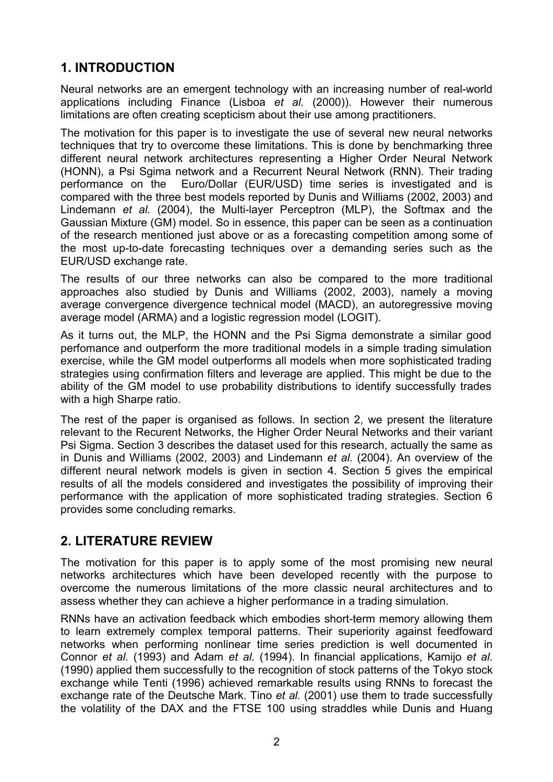## 1. INTRODUCTION

Neural networks are an emergent technology with an increasing number of real-world applications including Finance (Lisboa et al. (2000)). However their numerous limitations are often creating scepticism about their use among practitioners.

The motivation for this paper is to investigate the use of several new neural networks techniques that try to overcome these limitations. This is done by benchmarking three different neural network architectures representing a Higher Order Neural Network (HONN), a Psi Sgima network and a Recurrent Neural Network (RNN). Their trading performance on the Euro/Dollar (EUR/USD) time series is investigated and is compared with the three best models reported by Dunis and Williams (2002, 2003) and Lindemann et al. (2004), the Multi-layer Perceptron (MLP), the Softmax and the Gaussian Mixture (GM) model. So in essence, this paper can be seen as a continuation of the research mentioned just above or as a forecasting competition among some of the most up-to-date forecasting techniques over a demanding series such as the EUR/USD exchange rate.

The results of our three networks can also be compared to the more traditional approaches also studied by Dunis and Williams (2002, 2003), namely a moving average convergence divergence technical model (MACD), an autoregressive moving average model (ARMA) and a logistic regression model (LOGIT).

As it turns out, the MLP, the HONN and the Psi Sigma demonstrate a similar good perfomance and outperform the more traditional models in a simple trading simulation exercise, while the GM model outperforms all models when more sophisticated trading strategies using confirmation filters and leverage are applied. This might be due to the ability of the GM model to use probability distributions to identify successfully trades with a high Sharpe ratio.

The rest of the paper is organised as follows. In section 2, we present the literature relevant to the Recurent Networks, the Higher Order Neural Networks and their variant Psi Sigma. Section 3 describes the dataset used for this research, actually the same as in Dunis and Williams (2002, 2003) and Lindemann et al. (2004). An overview of the different neural network models is given in section 4. Section 5 gives the empirical results of all the models considered and investigates the possibility of improving their performance with the application of more sophisticated trading strategies. Section 6 provides some concluding remarks.

# 2. LITERATURE REVIEW

The motivation for this paper is to apply some of the most promising new neural networks architectures which have been developed recently with the purpose to overcome the numerous limitations of the more classic neural architectures and to assess whether they can achieve a higher performance in a trading simulation.

RNNs have an activation feedback which embodies short-term memory allowing them to learn extremely complex temporal patterns. Their superiority against feedfoward networks when performing nonlinear time series prediction is well documented in Connor et al. (1993) and Adam et al. (1994). In financial applications, Kamijo et al. (1990) applied them successfully to the recognition of stock patterns of the Tokyo stock exchange while Tenti (1996) achieved remarkable results using RNNs to forecast the exchange rate of the Deutsche Mark. Tino et al. (2001) use them to trade successfully the volatility of the DAX and the FTSE 100 using straddles while Dunis and Huang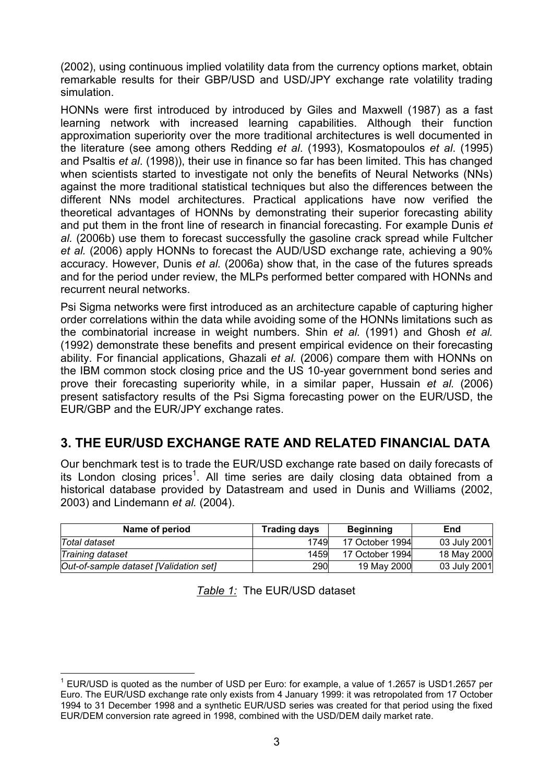(2002), using continuous implied volatility data from the currency options market, obtain remarkable results for their GBP/USD and USD/JPY exchange rate volatility trading simulation.

HONNs were first introduced by introduced by Giles and Maxwell (1987) as a fast learning network with increased learning capabilities. Although their function approximation superiority over the more traditional architectures is well documented in the literature (see among others Redding et al. (1993), Kosmatopoulos et al. (1995) and Psaltis et al. (1998)), their use in finance so far has been limited. This has changed when scientists started to investigate not only the benefits of Neural Networks (NNs) against the more traditional statistical techniques but also the differences between the different NNs model architectures. Practical applications have now verified the theoretical advantages of HONNs by demonstrating their superior forecasting ability and put them in the front line of research in financial forecasting. For example Dunis et al. (2006b) use them to forecast successfully the gasoline crack spread while Fultcher et al. (2006) apply HONNs to forecast the AUD/USD exchange rate, achieving a 90% accuracy. However, Dunis et al. (2006a) show that, in the case of the futures spreads and for the period under review, the MLPs performed better compared with HONNs and recurrent neural networks.

Psi Sigma networks were first introduced as an architecture capable of capturing higher order correlations within the data while avoiding some of the HONNs limitations such as the combinatorial increase in weight numbers. Shin et al. (1991) and Ghosh et al. (1992) demonstrate these benefits and present empirical evidence on their forecasting ability. For financial applications, Ghazali et al. (2006) compare them with HONNs on the IBM common stock closing price and the US 10-year government bond series and prove their forecasting superiority while, in a similar paper, Hussain et al. (2006) present satisfactory results of the Psi Sigma forecasting power on the EUR/USD, the EUR/GBP and the EUR/JPY exchange rates.

## 3. THE EUR/USD EXCHANGE RATE AND RELATED FINANCIAL DATA

Our benchmark test is to trade the EUR/USD exchange rate based on daily forecasts of its London closing prices<sup>1</sup>. All time series are daily closing data obtained from a historical database provided by Datastream and used in Dunis and Williams (2002, 2003) and Lindemann et al. (2004).

| Name of period                         | <b>Trading days</b> | <b>Beginning</b> | End          |
|----------------------------------------|---------------------|------------------|--------------|
| Total dataset                          | 1749                | 17 October 1994  | 03 July 2001 |
| Training dataset                       | 1459                | 17 October 1994  | 18 May 2000  |
| Out-of-sample dataset [Validation set] | 290                 | 19 May 2000      | 03 July 2001 |

Table 1: The EUR/USD dataset

 $\overline{\phantom{a}}$ 

<sup>1</sup> EUR/USD is quoted as the number of USD per Euro: for example, a value of 1.2657 is USD1.2657 per Euro. The EUR/USD exchange rate only exists from 4 January 1999: it was retropolated from 17 October 1994 to 31 December 1998 and a synthetic EUR/USD series was created for that period using the fixed EUR/DEM conversion rate agreed in 1998, combined with the USD/DEM daily market rate.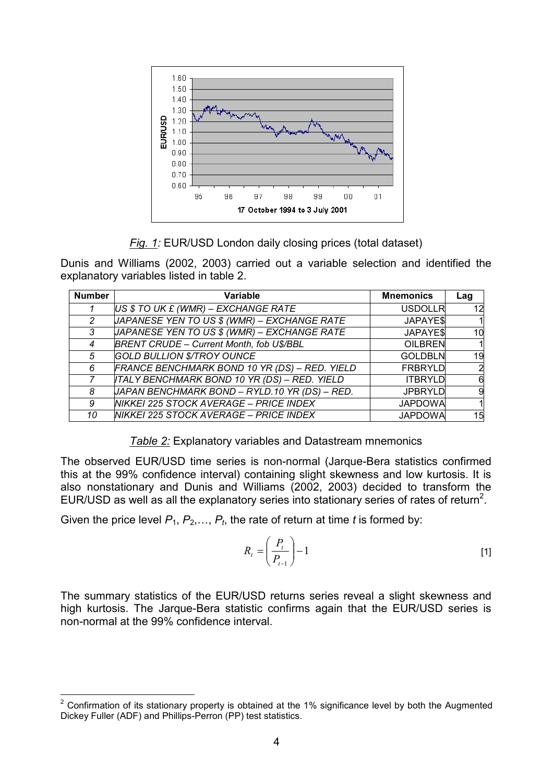

Fig. 1: EUR/USD London daily closing prices (total dataset)

Dunis and Williams (2002, 2003) carried out a variable selection and identified the explanatory variables listed in table 2.

| <b>Number</b> | <b>Variable</b>                                     | <b>Mnemonics</b> | Lag            |
|---------------|-----------------------------------------------------|------------------|----------------|
|               | US \$ TO UK £ (WMR) – EXCHANGE RATE                 | <b>USDOLLR</b>   | 12             |
| 2             | <b>JAPANESE YEN TO US \$ (WMR) - EXCHANGE RATE</b>  | JAPAYE\$         |                |
| 3             | <b>JAPANESE YEN TO US \$ (WMR) - EXCHANGE RATE</b>  | JAPAYE\$         | 10             |
| 4             | BRENT CRUDE - Current Month, fob U\$/BBL            | <b>OILBREN</b>   | 11             |
| 5             | <b>GOLD BULLION \$/TROY OUNCE</b>                   | <b>GOLDBLN</b>   | 19             |
| 6             | FRANCE BENCHMARK BOND 10 YR (DS) - RED. YIELD       | <b>FRBRYLD</b>   | $\overline{2}$ |
|               | <b>ITALY BENCHMARK BOND 10 YR (DS) - RED. YIELD</b> | <b>ITBRYLD</b>   | 6              |
| 8             | JAPAN BENCHMARK BOND - RYLD.10 YR (DS) - RED.       | <b>JPBRYLD</b>   | 9              |
| 9             | NIKKEI 225 STOCK AVERAGE - PRICE INDEX              | <b>JAPDOWA</b>   |                |
| 10            | <b>NIKKEI 225 STOCK AVERAGE - PRICE INDEX</b>       | <b>JAPDOWA</b>   | 15             |

#### Table 2: Explanatory variables and Datastream mnemonics

The observed EUR/USD time series is non-normal (Jarque-Bera statistics confirmed this at the 99% confidence interval) containing slight skewness and low kurtosis. It is also nonstationary and Dunis and Williams (2002, 2003) decided to transform the EUR/USD as well as all the explanatory series into stationary series of rates of return<sup>2</sup>.

Given the price level  $P_1, P_2, \ldots, P_t$ , the rate of return at time t is formed by:

$$
R_t = \left(\frac{P_t}{P_{t-1}}\right) - 1\tag{1}
$$

The summary statistics of the EUR/USD returns series reveal a slight skewness and high kurtosis. The Jarque-Bera statistic confirms again that the EUR/USD series is non-normal at the 99% confidence interval.

 $\overline{a}$  $2$  Confirmation of its stationary property is obtained at the 1% significance level by both the Augmented Dickey Fuller (ADF) and Phillips-Perron (PP) test statistics.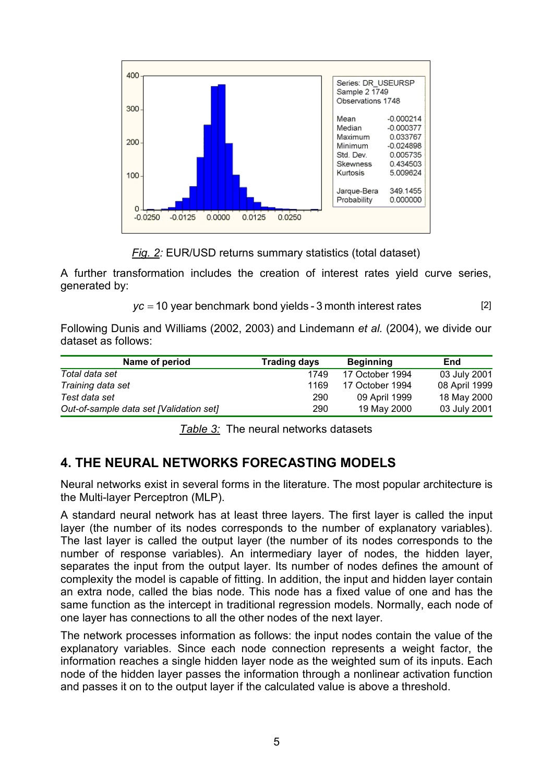



A further transformation includes the creation of interest rates yield curve series, generated by:

 $yc = 10$  year benchmark bond yields - 3 month interest rates [2]

Following Dunis and Williams (2002, 2003) and Lindemann et al. (2004), we divide our dataset as follows:

| Name of period                          | <b>Trading days</b> | <b>Beginning</b> | <b>End</b>    |
|-----------------------------------------|---------------------|------------------|---------------|
| Total data set                          | 1749                | 17 October 1994  | 03 July 2001  |
| Training data set                       | 1169                | 17 October 1994  | 08 April 1999 |
| Test data set                           | 290                 | 09 April 1999    | 18 May 2000   |
| Out-of-sample data set [Validation set] | 290                 | 19 May 2000      | 03 July 2001  |

Table 3: The neural networks datasets

## 4. THE NEURAL NETWORKS FORECASTING MODELS

Neural networks exist in several forms in the literature. The most popular architecture is the Multi-layer Perceptron (MLP).

A standard neural network has at least three layers. The first layer is called the input layer (the number of its nodes corresponds to the number of explanatory variables). The last layer is called the output layer (the number of its nodes corresponds to the number of response variables). An intermediary layer of nodes, the hidden layer, separates the input from the output layer. Its number of nodes defines the amount of complexity the model is capable of fitting. In addition, the input and hidden layer contain an extra node, called the bias node. This node has a fixed value of one and has the same function as the intercept in traditional regression models. Normally, each node of one layer has connections to all the other nodes of the next layer.

The network processes information as follows: the input nodes contain the value of the explanatory variables. Since each node connection represents a weight factor, the information reaches a single hidden layer node as the weighted sum of its inputs. Each node of the hidden layer passes the information through a nonlinear activation function and passes it on to the output layer if the calculated value is above a threshold.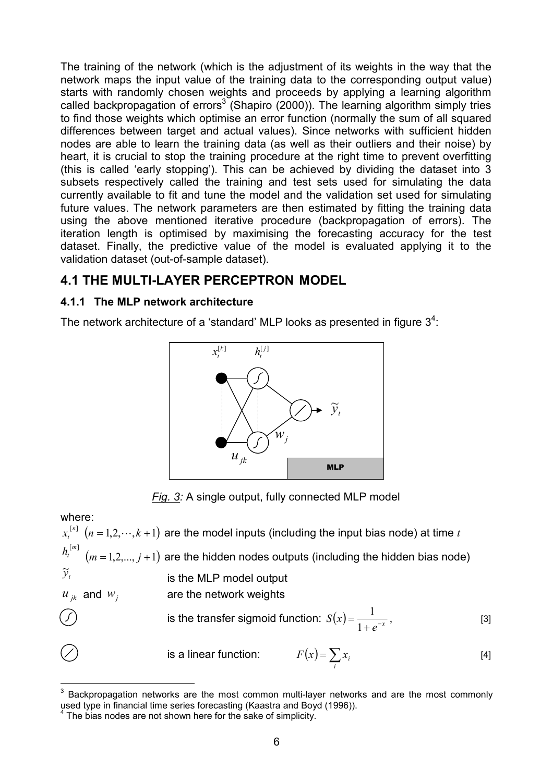The training of the network (which is the adjustment of its weights in the way that the network maps the input value of the training data to the corresponding output value) starts with randomly chosen weights and proceeds by applying a learning algorithm called backpropagation of errors<sup>3</sup> (Shapiro (2000)). The learning algorithm simply tries to find those weights which optimise an error function (normally the sum of all squared differences between target and actual values). Since networks with sufficient hidden nodes are able to learn the training data (as well as their outliers and their noise) by heart, it is crucial to stop the training procedure at the right time to prevent overfitting (this is called 'early stopping'). This can be achieved by dividing the dataset into 3 subsets respectively called the training and test sets used for simulating the data currently available to fit and tune the model and the validation set used for simulating future values. The network parameters are then estimated by fitting the training data using the above mentioned iterative procedure (backpropagation of errors). The iteration length is optimised by maximising the forecasting accuracy for the test dataset. Finally, the predictive value of the model is evaluated applying it to the validation dataset (out-of-sample dataset).

## 4.1 THE MULTI-LAYER PERCEPTRON MODEL

### 4.1.1 The MLP network architecture

The network architecture of a 'standard' MLP looks as presented in figure  $3<sup>4</sup>$ :



Fig. 3: A single output, fully connected MLP model

### where:

[n]  $x_{t}^{\left[ n\right] }\;\left( n=1,2,\cdots,k+1\right)$  are the model inputs (including the input bias node) at time  $t$  $h^{[m]}_{t} \ \ (m=1,2,...,j+1)$  are the hidden nodes outputs (including the hidden bias node).  $\widetilde{\mathcal{Y}}_t$  is the MLP model output  $u_{jk}$  and  $w_j$  are the network weights  $\textcircled{f}$  is the transfer sigmoid function:  $S(x) = \frac{1}{1 + e^{-x}}$  $S(x) = \frac{1}{1+e^{-x}}$ = 1 1  $[3]$ is a linear function: i  $F(x) = \sum x_i$  [4]

**EXECTS 2018**<br><sup>3</sup> Backpropagation networks are the most common multi-layer networks and are the most commonly used type in financial time series forecasting (Kaastra and Boyd (1996)). 4 The bias nodes are not shown here for the sake of simplicity.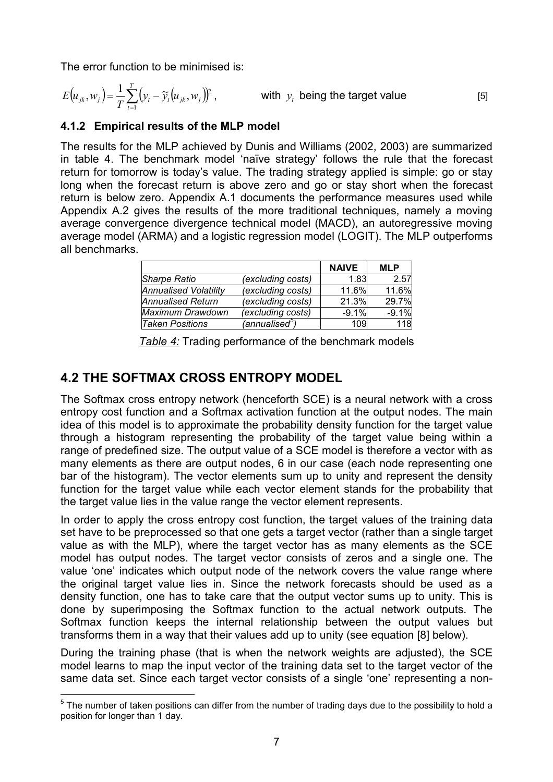The error function to be minimised is:

$$
E(u_{jk}, w_j) = \frac{1}{T} \sum_{t=1}^{T} (y_t - \widetilde{y}_t(u_{jk}, w_j))^2, \qquad \text{with } y_t \text{ being the target value} \tag{5}
$$

### 4.1.2 Empirical results of the MLP model

The results for the MLP achieved by Dunis and Williams (2002, 2003) are summarized in table 4. The benchmark model 'naïve strategy' follows the rule that the forecast return for tomorrow is today's value. The trading strategy applied is simple: go or stay long when the forecast return is above zero and go or stay short when the forecast return is below zero. Appendix A.1 documents the performance measures used while Appendix A.2 gives the results of the more traditional techniques, namely a moving average convergence divergence technical model (MACD), an autoregressive moving average model (ARMA) and a logistic regression model (LOGIT). The MLP outperforms all benchmarks.

|                              |                            | <b>NAIVE</b> | <b>MLP</b> |
|------------------------------|----------------------------|--------------|------------|
| Sharpe Ratio                 | (excluding costs)          | 1.83         | 2.57       |
| <b>Annualised Volatility</b> | (excluding costs)          | 11.6%        | 11.6%      |
| Annualised Return            | (excluding costs)          | 21.3%        | 29.7%      |
| Maximum Drawdown             | (excluding costs)          | $-9.1%$      | $-9.1%$    |
| <b>Taken Positions</b>       | (annualised <sup>5</sup> ) | 109          | 118        |

Table 4: Trading performance of the benchmark models

## 4.2 THE SOFTMAX CROSS ENTROPY MODEL

The Softmax cross entropy network (henceforth SCE) is a neural network with a cross entropy cost function and a Softmax activation function at the output nodes. The main idea of this model is to approximate the probability density function for the target value through a histogram representing the probability of the target value being within a range of predefined size. The output value of a SCE model is therefore a vector with as many elements as there are output nodes, 6 in our case (each node representing one bar of the histogram). The vector elements sum up to unity and represent the density function for the target value while each vector element stands for the probability that the target value lies in the value range the vector element represents.

In order to apply the cross entropy cost function, the target values of the training data set have to be preprocessed so that one gets a target vector (rather than a single target value as with the MLP), where the target vector has as many elements as the SCE model has output nodes. The target vector consists of zeros and a single one. The value 'one' indicates which output node of the network covers the value range where the original target value lies in. Since the network forecasts should be used as a density function, one has to take care that the output vector sums up to unity. This is done by superimposing the Softmax function to the actual network outputs. The Softmax function keeps the internal relationship between the output values but transforms them in a way that their values add up to unity (see equation [8] below).

During the training phase (that is when the network weights are adjusted), the SCE model learns to map the input vector of the training data set to the target vector of the same data set. Since each target vector consists of a single 'one' representing a non-

 $\overline{a}$ <sup>5</sup> The number of taken positions can differ from the number of trading days due to the possibility to hold a position for longer than 1 day.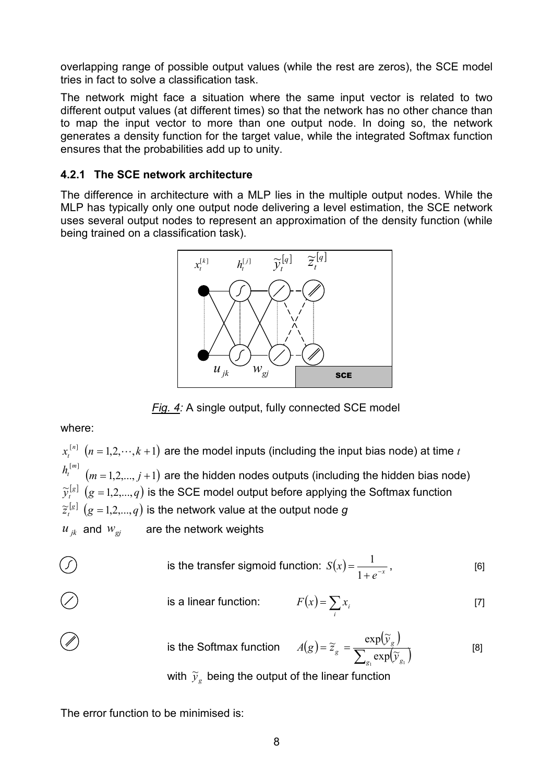overlapping range of possible output values (while the rest are zeros), the SCE model tries in fact to solve a classification task.

The network might face a situation where the same input vector is related to two different output values (at different times) so that the network has no other chance than to map the input vector to more than one output node. In doing so, the network generates a density function for the target value, while the integrated Softmax function ensures that the probabilities add up to unity.

#### 4.2.1 The SCE network architecture

The difference in architecture with a MLP lies in the multiple output nodes. While the MLP has typically only one output node delivering a level estimation, the SCE network uses several output nodes to represent an approximation of the density function (while being trained on a classification task).



Fig. 4: A single output, fully connected SCE model

#### where:

 $\lceil n \rceil$  $x_{t}^{\left[n\right]}\;\left(n=1,2,\cdots,k+1\right)$  are the model inputs (including the input bias node) at time  $t$  $h^{[m]}_{t} \ \left(m=1,2,...,j+1\right)$  are the hidden nodes outputs (including the hidden bias node).  $\lceil g \rceil$  $\widetilde{\mathbf{y}}_{t}^{[s]}$   $(g$  =1,2,..., $q)$  is the SCE model output before applying the Softmax function  $\lfloor g \rfloor$  $\widetilde{\varepsilon}^{[s]}_\iota\,\left(g=1,2,...,q\right)$  is the network value at the output node  $g$  $u_{ik}$  and  $w_{qi}$  are the network weights

is the transfer sigmoid function: 
$$
S(x) = \frac{1}{1 + e^{-x}}
$$
, [6]

is a linear function: 
$$
F(x) = \sum_{i} x_i
$$
 [7]

is the Softmax function 
$$
A(g) = \tilde{z}_g = \frac{\exp(\tilde{y}_g)}{\sum_{g_1} \exp(\tilde{y}_{g_1})}
$$
 [8]

with  $\widetilde{\mathcal{Y}}_g$  being the output of the linear function

The error function to be minimised is: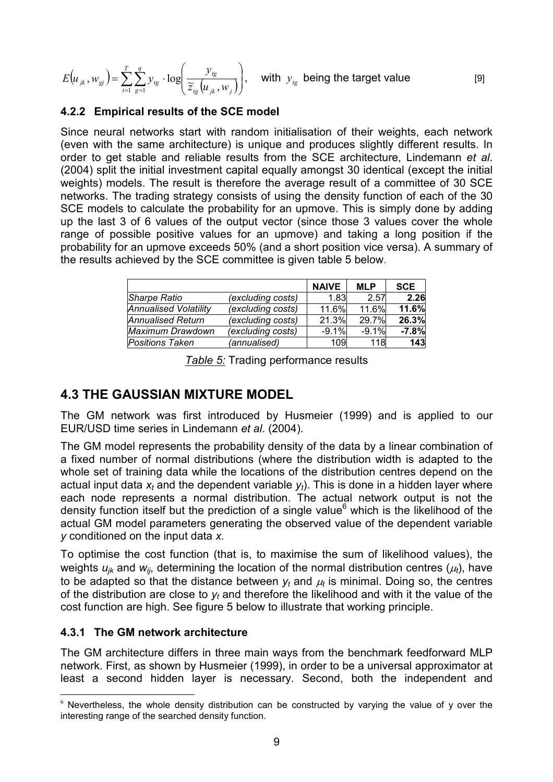$$
E(u_{jk}, w_{gi}) = \sum_{t=1}^{T} \sum_{g=1}^{q} y_{tg} \cdot \log \left( \frac{y_{tg}}{\widetilde{z}_{tg}(u_{jk}, w_j)} \right), \quad \text{with } y_{tg} \text{ being the target value} \tag{9}
$$

#### 4.2.2 Empirical results of the SCE model

Since neural networks start with random initialisation of their weights, each network (even with the same architecture) is unique and produces slightly different results. In order to get stable and reliable results from the SCE architecture, Lindemann et al. (2004) split the initial investment capital equally amongst 30 identical (except the initial weights) models. The result is therefore the average result of a committee of 30 SCE networks. The trading strategy consists of using the density function of each of the 30 SCE models to calculate the probability for an upmove. This is simply done by adding up the last 3 of 6 values of the output vector (since those 3 values cover the whole range of possible positive values for an upmove) and taking a long position if the probability for an upmove exceeds 50% (and a short position vice versa). A summary of the results achieved by the SCE committee is given table 5 below.

|                              |                   | <b>NAIVE</b> | <b>MLP</b> | <b>SCE</b> |
|------------------------------|-------------------|--------------|------------|------------|
| <b>Sharpe Ratio</b>          | (excluding costs) | 1.83         | 2.57       | 2.26       |
| <b>Annualised Volatility</b> | (excluding costs) | 11.6%        | 11.6%      | 11.6%      |
| <b>Annualised Return</b>     | (excluding costs) | 21.3%        | 29.7%      | 26.3%      |
| Maximum Drawdown             | (excluding costs) | $-9.1%$      | $-9.1%$    | $-7.8%$    |
| <b>Positions Taken</b>       | (annualised)      | 109          | 118        | 143        |

|  | <b>Table 5:</b> Trading performance results |  |
|--|---------------------------------------------|--|
|  |                                             |  |

### 4.3 THE GAUSSIAN MIXTURE MODEL

The GM network was first introduced by Husmeier (1999) and is applied to our EUR/USD time series in Lindemann et al. (2004).

The GM model represents the probability density of the data by a linear combination of a fixed number of normal distributions (where the distribution width is adapted to the whole set of training data while the locations of the distribution centres depend on the actual input data  $x_t$  and the dependent variable  $y_t$ ). This is done in a hidden layer where each node represents a normal distribution. The actual network output is not the density function itself but the prediction of a single value<sup>6</sup> which is the likelihood of the actual GM model parameters generating the observed value of the dependent variable y conditioned on the input data x.

To optimise the cost function (that is, to maximise the sum of likelihood values), the weights  $u_{ik}$  and  $w_{ij}$ , determining the location of the normal distribution centres  $(u_i)$ , have to be adapted so that the distance between  $y_t$  and  $\mu_t$  is minimal. Doing so, the centres of the distribution are close to  $y_t$  and therefore the likelihood and with it the value of the cost function are high. See figure 5 below to illustrate that working principle.

#### 4.3.1 The GM network architecture

The GM architecture differs in three main ways from the benchmark feedforward MLP network. First, as shown by Husmeier (1999), in order to be a universal approximator at least a second hidden layer is necessary. Second, both the independent and

 $\overline{a}$  $6$  Nevertheless, the whole density distribution can be constructed by varying the value of y over the interesting range of the searched density function.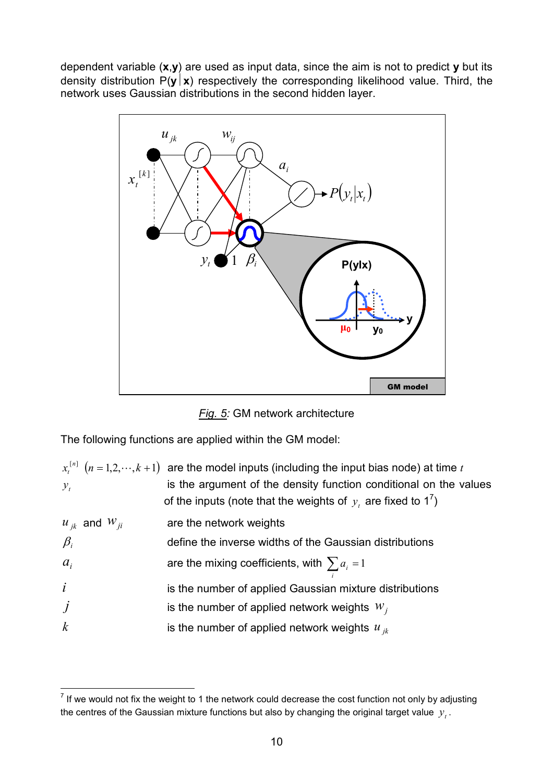dependent variable  $(x,y)$  are used as input data, since the aim is not to predict  $y$  but its density distribution  $P(y|x)$  respectively the corresponding likelihood value. Third, the network uses Gaussian distributions in the second hidden layer.



Fig. 5: GM network architecture

The following functions are applied within the GM model:

 $\overline{a}$ 

| $y_t$                 | $x_t^{[n]}$ $(n = 1,2,\dots,k+1)$ are the model inputs (including the input bias node) at time t<br>is the argument of the density function conditional on the values<br>of the inputs (note that the weights of $y_t$ , are fixed to 1 <sup>7</sup> ) |
|-----------------------|--------------------------------------------------------------------------------------------------------------------------------------------------------------------------------------------------------------------------------------------------------|
| $u_{jk}$ and $w_{ji}$ | are the network weights                                                                                                                                                                                                                                |
| $\beta_i$             | define the inverse widths of the Gaussian distributions                                                                                                                                                                                                |
| $a_i$                 | are the mixing coefficients, with $\sum a_i = 1$                                                                                                                                                                                                       |
| $\dot{i}$             | is the number of applied Gaussian mixture distributions                                                                                                                                                                                                |
| $\dot{J}$             | is the number of applied network weights $W_i$                                                                                                                                                                                                         |
| $\boldsymbol{k}$      | is the number of applied network weights $u_{ik}$                                                                                                                                                                                                      |

 $<sup>7</sup>$  If we would not fix the weight to 1 the network could decrease the cost function not only by adjusting</sup> the centres of the Gaussian mixture functions but also by changing the original target value  $y_t$ .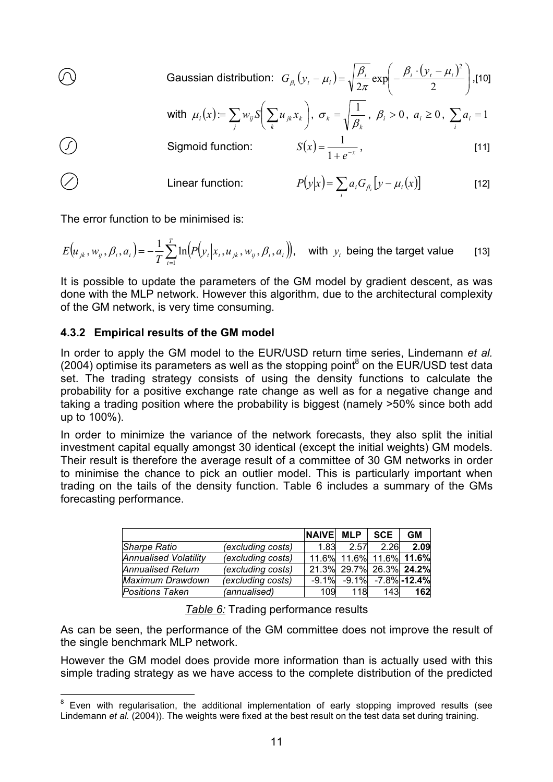Gaussian distribution: 
$$
G_{\beta_i}(y_i - \mu_i) = \sqrt{\frac{\beta_i}{2\pi}} \exp\left(-\frac{\beta_i \cdot (y_i - \mu_i)^2}{2}\right)
$$
, [10]

with 
$$
\mu_i(x) = \sum_j w_{ij} S\left(\sum_k u_{jk} x_k\right)
$$
,  $\sigma_k = \sqrt{\frac{1}{\beta_k}}$ ,  $\beta_i > 0$ ,  $a_i \ge 0$ ,  $\sum_i a_i = 1$   
Simoid function:

 $S(x) = \frac{1}{1+e^{-x}}$ = 1

 $e^{-x}$ 

Sigmoid function:

$$
\qquad \qquad ,\qquad \qquad [11]
$$

Linear function: 
$$
P(y|x) = \sum_{i} a_i G_{\beta_i} [y - \mu_i(x)]
$$
 [12]

The error function to be minimised is:

$$
E(u_{jk}, w_{ij}, \beta_i, a_i) = -\frac{1}{T} \sum_{t=1}^T \ln \left( P(y_t | x_t, u_{jk}, w_{ij}, \beta_i, a_i) \right), \quad \text{with } y_t \text{ being the target value} \tag{13}
$$

It is possible to update the parameters of the GM model by gradient descent, as was done with the MLP network. However this algorithm, due to the architectural complexity of the GM network, is very time consuming.

#### 4.3.2 Empirical results of the GM model

In order to apply the GM model to the EUR/USD return time series, Lindemann et al.  $(2004)$  optimise its parameters as well as the stopping point<sup>8</sup> on the EUR/USD test data set. The trading strategy consists of using the density functions to calculate the probability for a positive exchange rate change as well as for a negative change and taking a trading position where the probability is biggest (namely >50% since both add up to 100%).

In order to minimize the variance of the network forecasts, they also split the initial investment capital equally amongst 30 identical (except the initial weights) GM models. Their result is therefore the average result of a committee of 30 GM networks in order to minimise the chance to pick an outlier model. This is particularly important when trading on the tails of the density function. Table 6 includes a summary of the GMs forecasting performance.

|                              |                   | NAIVE MLP |      | <b>SCE</b> | <b>GM</b>                |
|------------------------------|-------------------|-----------|------|------------|--------------------------|
| <b>Sharpe Ratio</b>          | (excluding costs) | 1.83      | 2.57 | 2.26       | 2.09                     |
| <b>Annualised Volatility</b> | (excluding costs) | 11.6%     |      |            | 11.6% 11.6% 11.6%        |
| <b>Annualised Return</b>     | (excluding costs) |           |      |            | 21.3% 29.7% 26.3% 24.2%  |
| Maximum Drawdown             | (excluding costs) | $-9.1%$   |      |            | $-9.1\%$ $-7.8\%$ -12.4% |
| <b>Positions Taken</b>       | (annualised)      | 109       | 118  | 143        | 162                      |

**Table 6:** Trading performance results

As can be seen, the performance of the GM committee does not improve the result of the single benchmark MLP network.

However the GM model does provide more information than is actually used with this simple trading strategy as we have access to the complete distribution of the predicted

 $\overline{a}$ 8 Even with regularisation, the additional implementation of early stopping improved results (see Lindemann et al. (2004)). The weights were fixed at the best result on the test data set during training.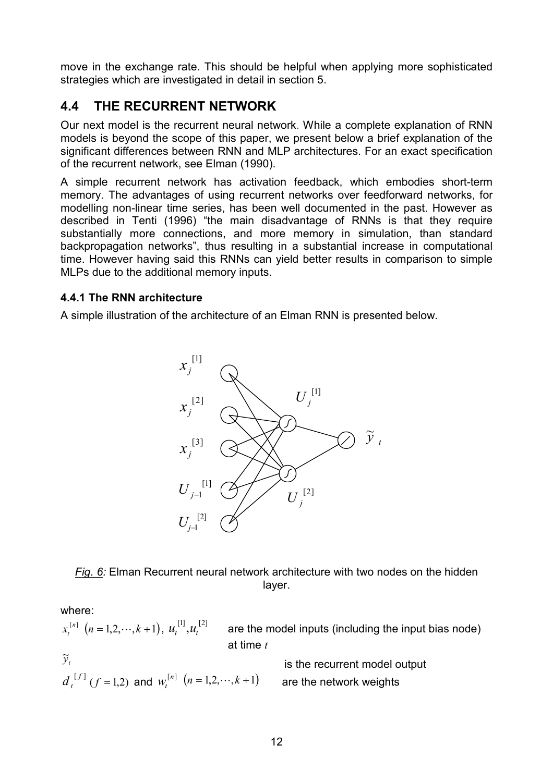move in the exchange rate. This should be helpful when applying more sophisticated strategies which are investigated in detail in section 5.

# 4.4 THE RECURRENT NETWORK

Our next model is the recurrent neural network. While a complete explanation of RNN models is beyond the scope of this paper, we present below a brief explanation of the significant differences between RNN and MLP architectures. For an exact specification of the recurrent network, see Elman (1990).

A simple recurrent network has activation feedback, which embodies short-term memory. The advantages of using recurrent networks over feedforward networks, for modelling non-linear time series, has been well documented in the past. However as described in Tenti (1996) "the main disadvantage of RNNs is that they require substantially more connections, and more memory in simulation, than standard backpropagation networks", thus resulting in a substantial increase in computational time. However having said this RNNs can yield better results in comparison to simple MLPs due to the additional memory inputs.

#### 4.4.1 The RNN architecture

A simple illustration of the architecture of an Elman RNN is presented below.



Fig. 6: Elman Recurrent neural network architecture with two nodes on the hidden layer.

#### where:

[n]  $x_t^{[n]}$   $(n = 1, 2, \dots, k + 1)$ ,  $u_t^{[1]}$ ,  $u_t^{[2]}$  are the model inputs (including the input bias node) at time  $t$  $\widetilde{\mathcal{Y}}_t$  is the recurrent model output  $d_t^{[f]}(f=1,2)$  and  $w_t^{[n]}$   $(n=1,2,\dots,k+1)$  are the network weights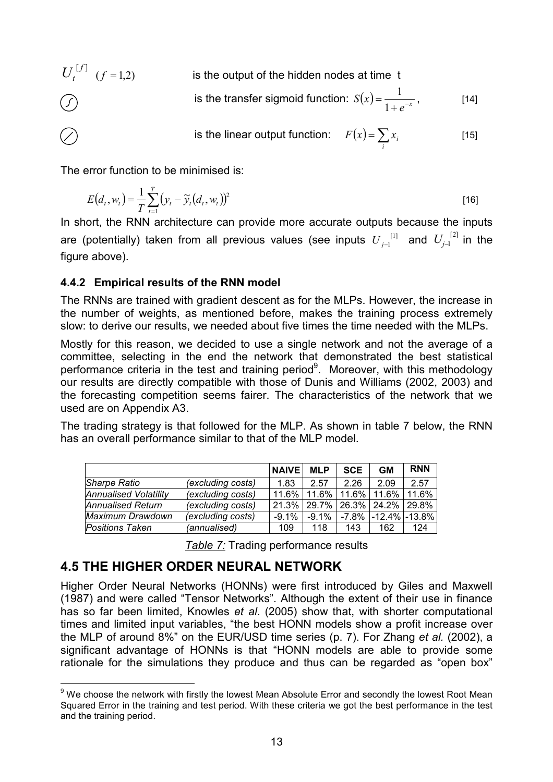$$
U_t^{[f]}
$$
  $(f = 1,2)$  is the output of the hidden nodes at time t  
\nis the transfer sigmoid function:  $S(x) = \frac{1}{1 + e^{-x}}$ , [14]  
\n  
\n
$$
\bigcirc
$$
 is the linear output function:  $F(x) = \sum_i x_i$  [15]

The error function to be minimised is:

$$
E(d_t, w_t) = \frac{1}{T} \sum_{t=1}^{T} (y_t - \widetilde{y}_t(d_t, w_t))^2
$$
\n[16]

In short, the RNN architecture can provide more accurate outputs because the inputs are (potentially) taken from all previous values (see inputs  $U_{j-1}^{[1]}$  and  $U_{j-1}^{[2]}$  in the figure above).

#### 4.4.2 Empirical results of the RNN model

The RNNs are trained with gradient descent as for the MLPs. However, the increase in the number of weights, as mentioned before, makes the training process extremely slow: to derive our results, we needed about five times the time needed with the MLPs.

Mostly for this reason, we decided to use a single network and not the average of a committee, selecting in the end the network that demonstrated the best statistical performance criteria in the test and training period<sup>9</sup>. Moreover, with this methodology our results are directly compatible with those of Dunis and Williams (2002, 2003) and the forecasting competition seems fairer. The characteristics of the network that we used are on Appendix A3.

The trading strategy is that followed for the MLP. As shown in table 7 below, the RNN has an overall performance similar to that of the MLP model.

|                              |                   | <b>NAIVE</b> | <b>MLP</b> | <b>SCE</b> | GM          | <b>RNN</b>          |
|------------------------------|-------------------|--------------|------------|------------|-------------|---------------------|
| Sharpe Ratio                 | (excluding costs) | 1.83         | 2.57       | 2.26       | 2.09        | 2.57                |
| <b>Annualised Volatility</b> | (excluding costs) | 11.6%        | 11.6%      | 11.6%      | $11.6\%$    | 11.6% l             |
| Annualised Return            | (excluding costs) | 21.3%        | 29.7%      |            | 26.3% 24.2% | $29.8\%$            |
| Maximum Drawdown             | (excluding costs) | $-9.1%$      | $-9.1\%$   | -7.8%      |             | $-12.4\%$ $-13.8\%$ |
| <b>Positions Taken</b>       | (annualised)      | 109          | 118        | 143        | 162         | 124                 |

Table 7: Trading performance results

## 4.5 THE HIGHER ORDER NEURAL NETWORK

Higher Order Neural Networks (HONNs) were first introduced by Giles and Maxwell (1987) and were called "Tensor Networks". Although the extent of their use in finance has so far been limited, Knowles et al. (2005) show that, with shorter computational times and limited input variables, "the best HONN models show a profit increase over the MLP of around 8%" on the EUR/USD time series (p. 7). For Zhang et al. (2002), a significant advantage of HONNs is that "HONN models are able to provide some rationale for the simulations they produce and thus can be regarded as "open box"

error and the network with firstly the lowest Mean Absolute Error and secondly the lowest Root Mean<br><sup>9</sup> We choose the network with firstly the lowest Mean Absolute Error and secondly the lowest Root Mean Squared Error in the training and test period. With these criteria we got the best performance in the test and the training period.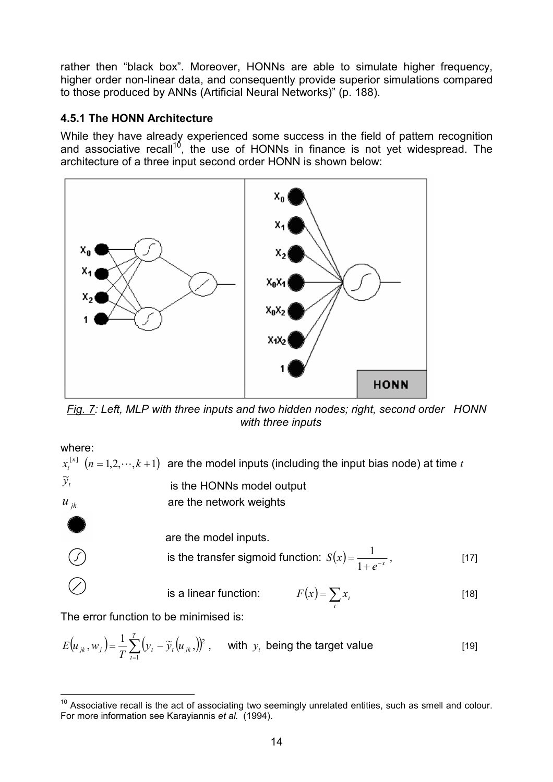rather then "black box". Moreover, HONNs are able to simulate higher frequency, higher order non-linear data, and consequently provide superior simulations compared to those produced by ANNs (Artificial Neural Networks)" (p. 188).

### 4.5.1 The HONN Architecture

While they have already experienced some success in the field of pattern recognition and associative recall<sup>10</sup>, the use of HONNs in finance is not yet widespread. The architecture of a three input second order HONN is shown below:



Fig. 7: Left, MLP with three inputs and two hidden nodes; right, second order HONN with three inputs

where: [n]  $x_{t}^{\left[n\right]}\;\left(n=1,2,\cdots,k+1\right)\;$  are the model inputs (including the input bias node) at time  $t$  $\widetilde{\mathcal{Y}}_t$  is the HONNs model output  $u_{jk}$  are the network weights are the model inputs.  $\bigcirc$  is the transfer sigmoid function:  $S(x) = \frac{1}{1+e^{-x}}$  $S(x) = \frac{1}{1+e^{-x}}$ = 1 1  $[17]$ is a linear function: i  $F(x) = \sum x_i$  [18]

The error function to be minimised is:

$$
E(u_{jk}, w_j) = \frac{1}{T} \sum_{t=1}^{T} (y_t - \widetilde{y}_t(u_{jk},))^2, \quad \text{with } y_t \text{ being the target value}
$$
 [19]

 $\overline{a}$  $10$  Associative recall is the act of associating two seemingly unrelated entities, such as smell and colour. For more information see Karayiannis et al. (1994).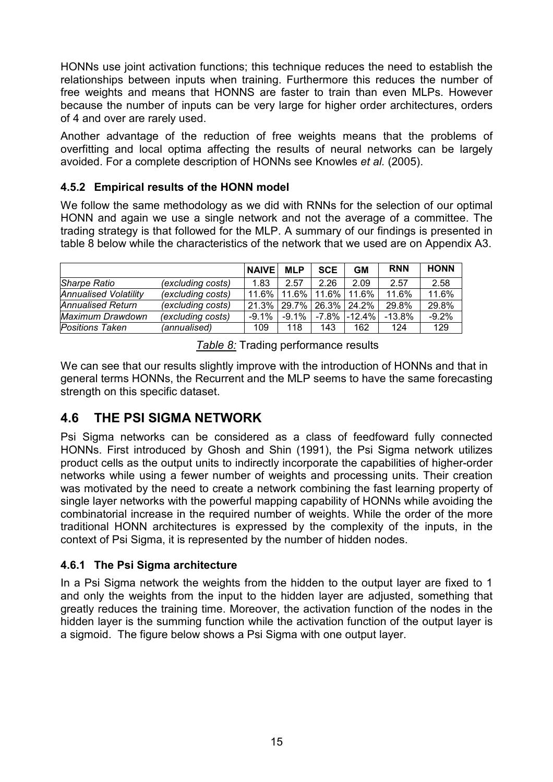HONNs use joint activation functions; this technique reduces the need to establish the relationships between inputs when training. Furthermore this reduces the number of free weights and means that HONNS are faster to train than even MLPs. However because the number of inputs can be very large for higher order architectures, orders of 4 and over are rarely used.

Another advantage of the reduction of free weights means that the problems of overfitting and local optima affecting the results of neural networks can be largely avoided. For a complete description of HONNs see Knowles et al. (2005).

### 4.5.2 Empirical results of the HONN model

We follow the same methodology as we did with RNNs for the selection of our optimal HONN and again we use a single network and not the average of a committee. The trading strategy is that followed for the MLP. A summary of our findings is presented in table 8 below while the characteristics of the network that we used are on Appendix A3.

|                              |                   | <b>NAIVE</b> | <b>MLP</b> | <b>SCE</b> | GМ            | <b>RNN</b> | <b>HONN</b> |
|------------------------------|-------------------|--------------|------------|------------|---------------|------------|-------------|
| <b>Sharpe Ratio</b>          | (excluding costs) | 1.83         | 2.57       | 2.26       | 2.09          | 2.57       | 2.58        |
| <b>Annualised Volatility</b> | (excluding costs) | 11.6%        | 11.6%      | $11.6\%$   | 11.6% l       | 11.6%      | 11.6%       |
| <b>Annualised Return</b>     | (excluding costs) | 21.3%        | 29.7%      |            | 26.3%   24.2% | 29.8%      | 29.8%       |
| Maximum Drawdown             | (excluding costs) | -9.1%        | $-9.1\%$   |            | -7.8% -12.4%  | $-13.8\%$  | $-9.2%$     |
| <b>Positions Taken</b>       | (annualised)      | 109          | 118        | 143        | 162           | 124        | 129         |

Table 8: Trading performance results

We can see that our results slightly improve with the introduction of HONNs and that in general terms HONNs, the Recurrent and the MLP seems to have the same forecasting strength on this specific dataset.

# 4.6 THE PSI SIGMA NETWORK

Psi Sigma networks can be considered as a class of feedfoward fully connected HONNs. First introduced by Ghosh and Shin (1991), the Psi Sigma network utilizes product cells as the output units to indirectly incorporate the capabilities of higher-order networks while using a fewer number of weights and processing units. Their creation was motivated by the need to create a network combining the fast learning property of single layer networks with the powerful mapping capability of HONNs while avoiding the combinatorial increase in the required number of weights. While the order of the more traditional HONN architectures is expressed by the complexity of the inputs, in the context of Psi Sigma, it is represented by the number of hidden nodes.

## 4.6.1 The Psi Sigma architecture

In a Psi Sigma network the weights from the hidden to the output layer are fixed to 1 and only the weights from the input to the hidden layer are adjusted, something that greatly reduces the training time. Moreover, the activation function of the nodes in the hidden layer is the summing function while the activation function of the output layer is a sigmoid. The figure below shows a Psi Sigma with one output layer.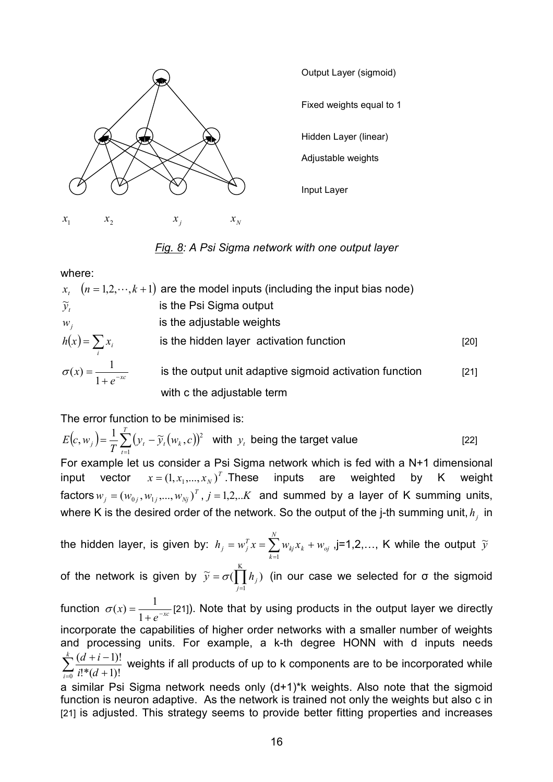



#### where:

|                             |                                   | $x, (n = 1, 2, \dots, k + 1)$ are the model inputs (including the input bias node) |      |
|-----------------------------|-----------------------------------|------------------------------------------------------------------------------------|------|
| $\widetilde{\mathcal{Y}}_t$ |                                   | is the Psi Sigma output                                                            |      |
| $W_i$                       |                                   | is the adjustable weights                                                          |      |
|                             | $h(x) = \sum x_i$                 | is the hidden layer activation function                                            | [20] |
|                             | $\sigma(x) = \frac{1}{1+e^{-xc}}$ | is the output unit adaptive sigmoid activation function                            | [21] |
|                             |                                   | with c the adjustable term                                                         |      |

The error function to be minimised is:

 $(c, w_j) = \frac{1}{T} \sum_{t=1}^{T} (y_t - \widetilde{y}_t(w_k, c))^2$  $=\frac{1}{x} \sum_{i=1}^{T} (y_i$ t  $\tilde{y}_j = \frac{1}{T} \sum (y_t - \widetilde{y}_t(w_k, c))$ T  $E(c, w$ 1  $(v, w_j) = \frac{1}{T} \sum_{i=1}^{T} (y_i - \widetilde{y}_i(w_k, c))^2$  with  $y_i$  being the target value [22] For example let us consider a Psi Sigma network which is fed with a N+1 dimensional input vector  $x = (1, x_1, ..., x_N)^T$ . These inputs are weighted by K weight factors  $w_j = (w_{0j}, w_{1j}, ..., w_{Nj})^T$ ,  $j = 1, 2, ...K$  and summed by a layer of K summing units, where K is the desired order of the network. So the output of the j-th summing unit,  $h_{_f}$  in

the hidden layer, is given by:  $h_j = w_j^T x = \sum_{k=1}^N w_{kj} x_k + ...$ k  $k$ j $\lambda_k$  v $\delta$ j  $h_{j} = w_{j}^{T} x = \sum w_{kj} x_{k} + w_{j}$ 1 ,j=1,2,..., K while the output  $\widetilde{y}$ of the network is given by  $\widetilde{y} = \sigma(\prod^{\text{K}}$ = = 1  $\widetilde{y} = \sigma(\prod h_i)$ j  $\widetilde{y} = \sigma(\prod h_j)$  (in our case we selected for  $\sigma$  the sigmoid function  $\sigma(x) = \frac{1}{1+e^{-xc}}$  $f(x) = \frac{1}{1+e^{-x}}$ = 1  $\sigma(x) = \frac{1}{1-x^2}$  [21]). Note that by using products in the output layer we directly incorporate the capabilities of higher order networks with a smaller number of weights and processing units. For example, a k-th degree HONN with d inputs needs  $\sum_{i=0}^{k} \frac{(d+i-1)}{i!*(d+1)}$  $\sum_{i=0}^{n} i! * (d)$  $d + i$  $\frac{1}{0}$  i!\*(d + 1)!  $\frac{(d+i-1)!}{(d+i-1)!}$  weights if all products of up to k components are to be incorporated while a similar Psi Sigma network needs only (d+1)\*k weights. Also note that the sigmoid function is neuron adaptive. As the network is trained not only the weights but also c in [21] is adjusted. This strategy seems to provide better fitting properties and increases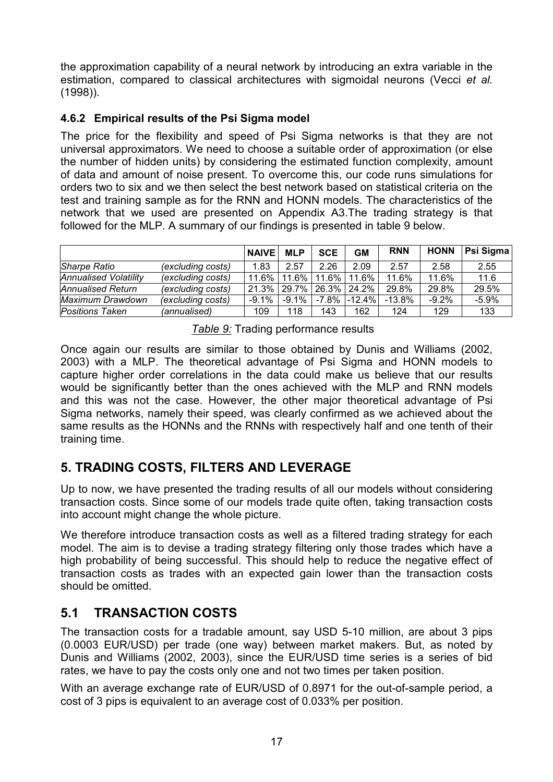the approximation capability of a neural network by introducing an extra variable in the estimation, compared to classical architectures with sigmoidal neurons (Vecci et al. (1998)).

## 4.6.2 Empirical results of the Psi Sigma model

The price for the flexibility and speed of Psi Sigma networks is that they are not universal approximators. We need to choose a suitable order of approximation (or else the number of hidden units) by considering the estimated function complexity, amount of data and amount of noise present. To overcome this, our code runs simulations for orders two to six and we then select the best network based on statistical criteria on the test and training sample as for the RNN and HONN models. The characteristics of the network that we used are presented on Appendix A3.The trading strategy is that followed for the MLP. A summary of our findings is presented in table 9 below.

|                              |                   | <b>NAIVE</b> | <b>MLP</b> | <b>SCE</b>  | GM           | <b>RNN</b> | <b>HONN</b> | Psi Sigma |
|------------------------------|-------------------|--------------|------------|-------------|--------------|------------|-------------|-----------|
| <b>Sharpe Ratio</b>          | (excluding costs) | 1.83         | 2.57       | 2.26        | 2.09         | 2.57       | 2.58        | 2.55      |
| <b>Annualised Volatility</b> | (excluding costs) | $11.6\%$     | $11.6\%$   | $11.6\%$    | 11.6%        | 11.6%      | 11.6%       | 11.6      |
| <b>Annualised Return</b>     | (excluding costs) | $21.3\%$     |            | 29.7% 26.3% | 24.2%        | 29.8%      | 29.8%       | 29.5%     |
| Maximum Drawdown             | (excluding costs) | $-9.1\%$     | $-9.1\%$   |             | -7.8% -12.4% | $-13.8\%$  | $-9.2\%$    | $-5.9%$   |
| <b>Positions Taken</b>       | (annualised)      | 109          | 118        | 143         | 162          | 124        | 129         | 133       |

Table 9: Trading performance results

Once again our results are similar to those obtained by Dunis and Williams (2002, 2003) with a MLP. The theoretical advantage of Psi Sigma and HONN models to capture higher order correlations in the data could make us believe that our results would be significantly better than the ones achieved with the MLP and RNN models and this was not the case. However, the other major theoretical advantage of Psi Sigma networks, namely their speed, was clearly confirmed as we achieved about the same results as the HONNs and the RNNs with respectively half and one tenth of their training time.

# 5. TRADING COSTS, FILTERS AND LEVERAGE

Up to now, we have presented the trading results of all our models without considering transaction costs. Since some of our models trade quite often, taking transaction costs into account might change the whole picture.

We therefore introduce transaction costs as well as a filtered trading strategy for each model. The aim is to devise a trading strategy filtering only those trades which have a high probability of being successful. This should help to reduce the negative effect of transaction costs as trades with an expected gain lower than the transaction costs should be omitted.

# 5.1 TRANSACTION COSTS

The transaction costs for a tradable amount, say USD 5-10 million, are about 3 pips (0.0003 EUR/USD) per trade (one way) between market makers. But, as noted by Dunis and Williams (2002, 2003), since the EUR/USD time series is a series of bid rates, we have to pay the costs only one and not two times per taken position.

With an average exchange rate of EUR/USD of 0.8971 for the out-of-sample period, a cost of 3 pips is equivalent to an average cost of 0.033% per position.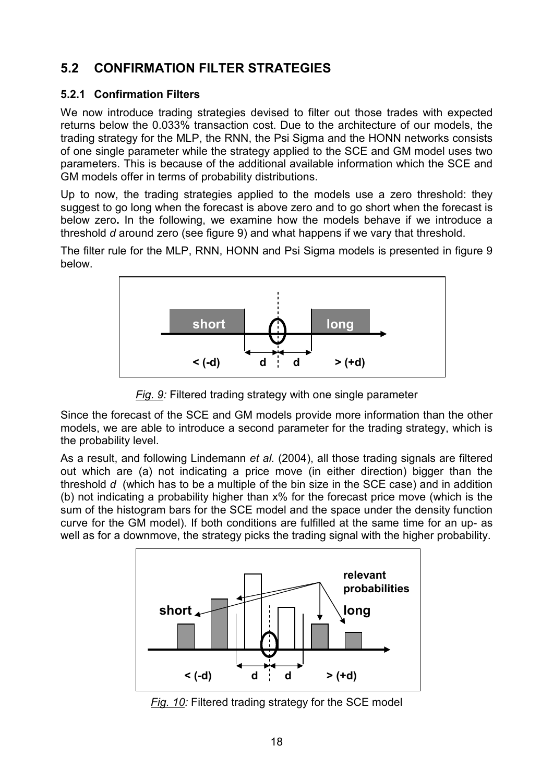# 5.2 CONFIRMATION FILTER STRATEGIES

## 5.2.1 Confirmation Filters

We now introduce trading strategies devised to filter out those trades with expected returns below the 0.033% transaction cost. Due to the architecture of our models, the trading strategy for the MLP, the RNN, the Psi Sigma and the HONN networks consists of one single parameter while the strategy applied to the SCE and GM model uses two parameters. This is because of the additional available information which the SCE and GM models offer in terms of probability distributions.

Up to now, the trading strategies applied to the models use a zero threshold: they suggest to go long when the forecast is above zero and to go short when the forecast is below zero. In the following, we examine how the models behave if we introduce a threshold d around zero (see figure 9) and what happens if we vary that threshold.

The filter rule for the MLP, RNN, HONN and Psi Sigma models is presented in figure 9 below.



Fig. 9: Filtered trading strategy with one single parameter

Since the forecast of the SCE and GM models provide more information than the other models, we are able to introduce a second parameter for the trading strategy, which is the probability level.

As a result, and following Lindemann et al. (2004), all those trading signals are filtered out which are (a) not indicating a price move (in either direction) bigger than the threshold d (which has to be a multiple of the bin size in the SCE case) and in addition (b) not indicating a probability higher than  $x\%$  for the forecast price move (which is the sum of the histogram bars for the SCE model and the space under the density function curve for the GM model). If both conditions are fulfilled at the same time for an up- as well as for a downmove, the strategy picks the trading signal with the higher probability.



Fig. 10: Filtered trading strategy for the SCE model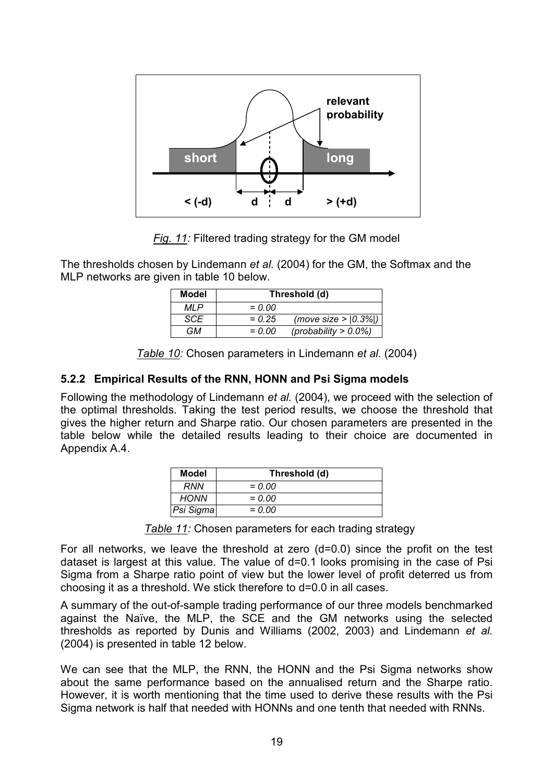

Fig. 11: Filtered trading strategy for the GM model

The thresholds chosen by Lindemann et al. (2004) for the GM, the Softmax and the MLP networks are given in table 10 below.

| <b>Model</b> | Threshold (d) |                          |  |  |  |  |  |  |
|--------------|---------------|--------------------------|--|--|--|--|--|--|
| MI P         | $= 0.00$      |                          |  |  |  |  |  |  |
| SCE          | $= 0.25$      | (move size $>  0.3\% $ ) |  |  |  |  |  |  |
| GМ           | $= 0.00$      | (probability $> 0.0\%$ ) |  |  |  |  |  |  |

| Table 10: Chosen parameters in Lindemann et al. (2004) |
|--------------------------------------------------------|
|--------------------------------------------------------|

### 5.2.2 Empirical Results of the RNN, HONN and Psi Sigma models

Following the methodology of Lindemann et al. (2004), we proceed with the selection of the optimal thresholds. Taking the test period results, we choose the threshold that gives the higher return and Sharpe ratio. Our chosen parameters are presented in the table below while the detailed results leading to their choice are documented in Appendix A.4.

| Model       | Threshold (d) |
|-------------|---------------|
| RNN         | $= 0.00$      |
| <b>HONN</b> | $= 0.00$      |
| Psi Sigma   | $= 0.00$      |

Table 11: Chosen parameters for each trading strategy

For all networks, we leave the threshold at zero (d=0.0) since the profit on the test dataset is largest at this value. The value of d=0.1 looks promising in the case of Psi Sigma from a Sharpe ratio point of view but the lower level of profit deterred us from choosing it as a threshold. We stick therefore to d=0.0 in all cases.

A summary of the out-of-sample trading performance of our three models benchmarked against the Naïve, the MLP, the SCE and the GM networks using the selected thresholds as reported by Dunis and Williams (2002, 2003) and Lindemann et al. (2004) is presented in table 12 below.

We can see that the MLP, the RNN, the HONN and the Psi Sigma networks show about the same performance based on the annualised return and the Sharpe ratio. However, it is worth mentioning that the time used to derive these results with the Psi Sigma network is half that needed with HONNs and one tenth that needed with RNNs.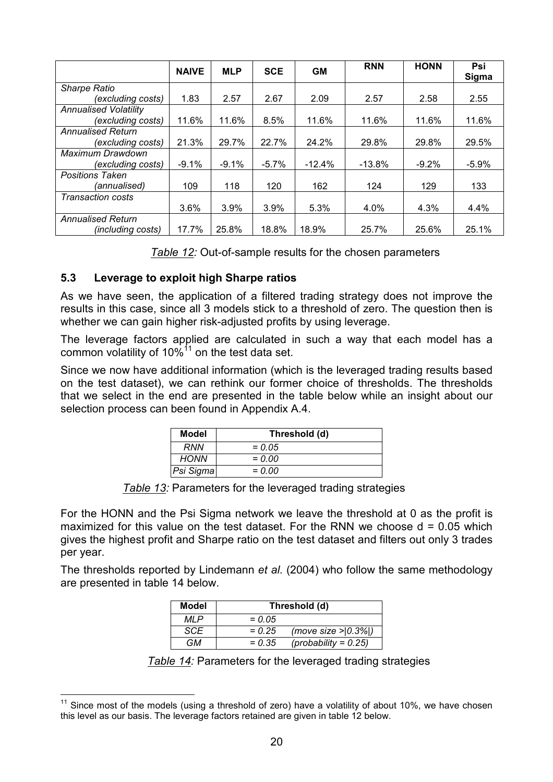|                              | <b>NAIVE</b> | <b>MLP</b> | <b>SCE</b> | <b>GM</b> | <b>RNN</b> | <b>HONN</b> | Psi<br>Sigma |
|------------------------------|--------------|------------|------------|-----------|------------|-------------|--------------|
| <b>Sharpe Ratio</b>          |              |            |            |           |            |             |              |
| (excluding costs)            | 1.83         | 2.57       | 2.67       | 2.09      | 2.57       | 2.58        | 2.55         |
| <b>Annualised Volatility</b> |              |            |            |           |            |             |              |
| (excluding costs)            | 11.6%        | 11.6%      | 8.5%       | 11.6%     | 11.6%      | 11.6%       | 11.6%        |
| <b>Annualised Return</b>     |              |            |            |           |            |             |              |
| (excluding costs)            | 21.3%        | 29.7%      | 22.7%      | 24.2%     | 29.8%      | 29.8%       | 29.5%        |
| Maximum Drawdown             |              |            |            |           |            |             |              |
| (excluding costs)            | $-9.1%$      | $-9.1%$    | $-5.7\%$   | $-12.4%$  | $-13.8%$   | $-9.2%$     | $-5.9%$      |
| <b>Positions Taken</b>       |              |            |            |           |            |             |              |
| (annualised)                 | 109          | 118        | 120        | 162       | 124        | 129         | 133          |
| Transaction costs            |              |            |            |           |            |             |              |
|                              | 3.6%         | 3.9%       | 3.9%       | 5.3%      | 4.0%       | 4.3%        | 4.4%         |
| <b>Annualised Return</b>     |              |            |            |           |            |             |              |
| (including costs)            | 17.7%        | 25.8%      | 18.8%      | 18.9%     | 25.7%      | 25.6%       | 25.1%        |

Table 12: Out-of-sample results for the chosen parameters

#### 5.3 Leverage to exploit high Sharpe ratios

As we have seen, the application of a filtered trading strategy does not improve the results in this case, since all 3 models stick to a threshold of zero. The question then is whether we can gain higher risk-adjusted profits by using leverage.

The leverage factors applied are calculated in such a way that each model has a common volatility of 10% $11$  on the test data set.

Since we now have additional information (which is the leveraged trading results based on the test dataset), we can rethink our former choice of thresholds. The thresholds that we select in the end are presented in the table below while an insight about our selection process can been found in Appendix A.4.

| <b>Model</b> | Threshold (d) |
|--------------|---------------|
| <b>RNN</b>   | $= 0.05$      |
| <b>HONN</b>  | $= 0.00$      |
| Psi Sigma    | $= 0.00$      |

Table 13: Parameters for the leveraged trading strategies

For the HONN and the Psi Sigma network we leave the threshold at 0 as the profit is maximized for this value on the test dataset. For the RNN we choose  $d = 0.05$  which gives the highest profit and Sharpe ratio on the test dataset and filters out only 3 trades per year.

The thresholds reported by Lindemann et al. (2004) who follow the same methodology are presented in table 14 below.

| Model      | Threshold (d)                      |  |  |  |  |  |  |  |  |
|------------|------------------------------------|--|--|--|--|--|--|--|--|
| MI P       | $= 0.05$                           |  |  |  |  |  |  |  |  |
| <b>SCE</b> | (move size $>$ [0.3%])<br>$= 0.25$ |  |  |  |  |  |  |  |  |
| GМ         | $(probability = 0.25)$<br>$= 0.35$ |  |  |  |  |  |  |  |  |

Table 14: Parameters for the leveraged trading strategies

 $\overline{a}$  $11$  Since most of the models (using a threshold of zero) have a volatility of about 10%, we have chosen this level as our basis. The leverage factors retained are given in table 12 below.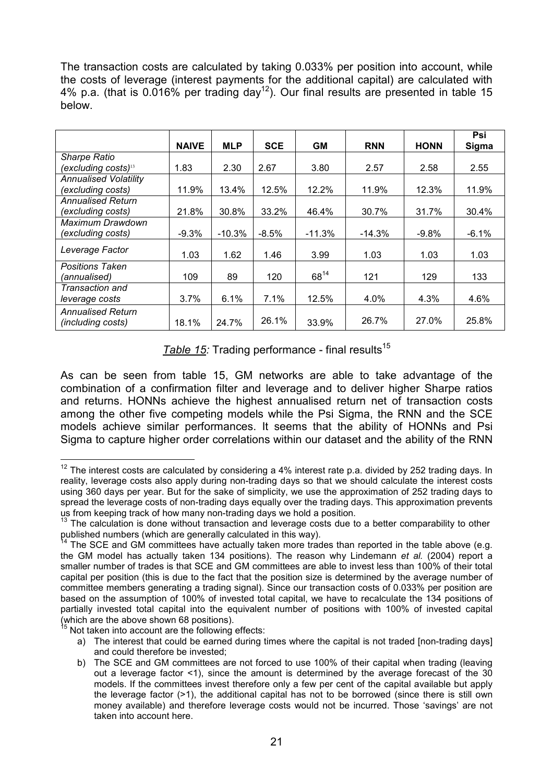The transaction costs are calculated by taking 0.033% per position into account, while the costs of leverage (interest payments for the additional capital) are calculated with 4% p.a. (that is 0.016% per trading day<sup>12</sup>). Our final results are presented in table 15 below.

|                                               |              |            |            |           |            |             | Psi     |
|-----------------------------------------------|--------------|------------|------------|-----------|------------|-------------|---------|
|                                               | <b>NAIVE</b> | <b>MLP</b> | <b>SCE</b> | <b>GM</b> | <b>RNN</b> | <b>HONN</b> | Sigma   |
| <b>Sharpe Ratio</b>                           |              |            |            |           |            |             |         |
| $(excluding costs)^{13}$                      | 1.83         | 2.30       | 2.67       | 3.80      | 2.57       | 2.58        | 2.55    |
| <b>Annualised Volatility</b>                  |              |            |            |           |            |             |         |
| (excluding costs)                             | 11.9%        | 13.4%      | 12.5%      | 12.2%     | 11.9%      | 12.3%       | 11.9%   |
| <b>Annualised Return</b>                      |              |            |            |           |            |             |         |
| (excluding costs)                             | 21.8%        | 30.8%      | 33.2%      | 46.4%     | 30.7%      | 31.7%       | 30.4%   |
| Maximum Drawdown                              |              |            |            |           |            |             |         |
| (excluding costs)                             | $-9.3%$      | $-10.3%$   | $-8.5%$    | $-11.3%$  | $-14.3%$   | $-9.8%$     | $-6.1%$ |
| Leverage Factor                               | 1.03         | 1.62       | 1.46       | 3.99      | 1.03       | 1.03        | 1.03    |
| <b>Positions Taken</b>                        |              |            |            |           |            |             |         |
| (annualised)                                  | 109          | 89         | 120        | 6814      | 121        | 129         | 133     |
| Transaction and                               |              |            |            |           |            |             |         |
| leverage costs                                | 3.7%         | 6.1%       | 7.1%       | 12.5%     | 4.0%       | 4.3%        | 4.6%    |
| <b>Annualised Return</b><br>(including costs) | 18.1%        | 24.7%      | 26.1%      | 33.9%     | 26.7%      | 27.0%       | 25.8%   |

Table 15: Trading performance - final results<sup>15</sup>

As can be seen from table 15, GM networks are able to take advantage of the combination of a confirmation filter and leverage and to deliver higher Sharpe ratios and returns. HONNs achieve the highest annualised return net of transaction costs among the other five competing models while the Psi Sigma, the RNN and the SCE models achieve similar performances. It seems that the ability of HONNs and Psi Sigma to capture higher order correlations within our dataset and the ability of the RNN

Not taken into account are the following effects:

 $\overline{\phantom{a}}$  $12$  The interest costs are calculated by considering a 4% interest rate p.a. divided by 252 trading days. In reality, leverage costs also apply during non-trading days so that we should calculate the interest costs using 360 days per year. But for the sake of simplicity, we use the approximation of 252 trading days to spread the leverage costs of non-trading days equally over the trading days. This approximation prevents us from keeping track of how many non-trading days we hold a position.

 $13$  The calculation is done without transaction and leverage costs due to a better comparability to other published numbers (which are generally calculated in this way).

 $14$  The SCE and GM committees have actually taken more trades than reported in the table above (e.g. the GM model has actually taken 134 positions). The reason why Lindemann et al. (2004) report a smaller number of trades is that SCE and GM committees are able to invest less than 100% of their total capital per position (this is due to the fact that the position size is determined by the average number of committee members generating a trading signal). Since our transaction costs of 0.033% per position are based on the assumption of 100% of invested total capital, we have to recalculate the 134 positions of partially invested total capital into the equivalent number of positions with 100% of invested capital (which are the above shown 68 positions).

a) The interest that could be earned during times where the capital is not traded [non-trading days] and could therefore be invested;

b) The SCE and GM committees are not forced to use 100% of their capital when trading (leaving out a leverage factor <1), since the amount is determined by the average forecast of the 30 models. If the committees invest therefore only a few per cent of the capital available but apply the leverage factor (>1), the additional capital has not to be borrowed (since there is still own money available) and therefore leverage costs would not be incurred. Those 'savings' are not taken into account here.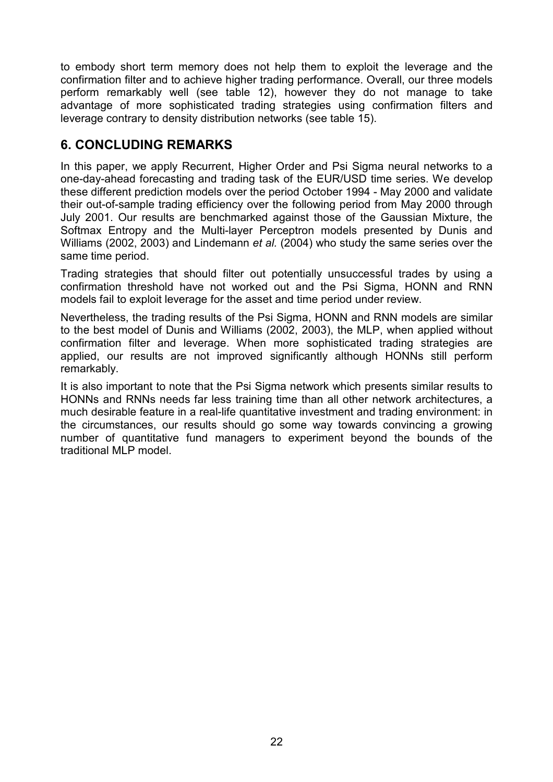to embody short term memory does not help them to exploit the leverage and the confirmation filter and to achieve higher trading performance. Overall, our three models perform remarkably well (see table 12), however they do not manage to take advantage of more sophisticated trading strategies using confirmation filters and leverage contrary to density distribution networks (see table 15).

## 6. CONCLUDING REMARKS

In this paper, we apply Recurrent, Higher Order and Psi Sigma neural networks to a one-day-ahead forecasting and trading task of the EUR/USD time series. We develop these different prediction models over the period October 1994 - May 2000 and validate their out-of-sample trading efficiency over the following period from May 2000 through July 2001. Our results are benchmarked against those of the Gaussian Mixture, the Softmax Entropy and the Multi-layer Perceptron models presented by Dunis and Williams (2002, 2003) and Lindemann et al. (2004) who study the same series over the same time period.

Trading strategies that should filter out potentially unsuccessful trades by using a confirmation threshold have not worked out and the Psi Sigma, HONN and RNN models fail to exploit leverage for the asset and time period under review.

Nevertheless, the trading results of the Psi Sigma, HONN and RNN models are similar to the best model of Dunis and Williams (2002, 2003), the MLP, when applied without confirmation filter and leverage. When more sophisticated trading strategies are applied, our results are not improved significantly although HONNs still perform remarkably.

It is also important to note that the Psi Sigma network which presents similar results to HONNs and RNNs needs far less training time than all other network architectures, a much desirable feature in a real-life quantitative investment and trading environment: in the circumstances, our results should go some way towards convincing a growing number of quantitative fund managers to experiment beyond the bounds of the traditional MLP model.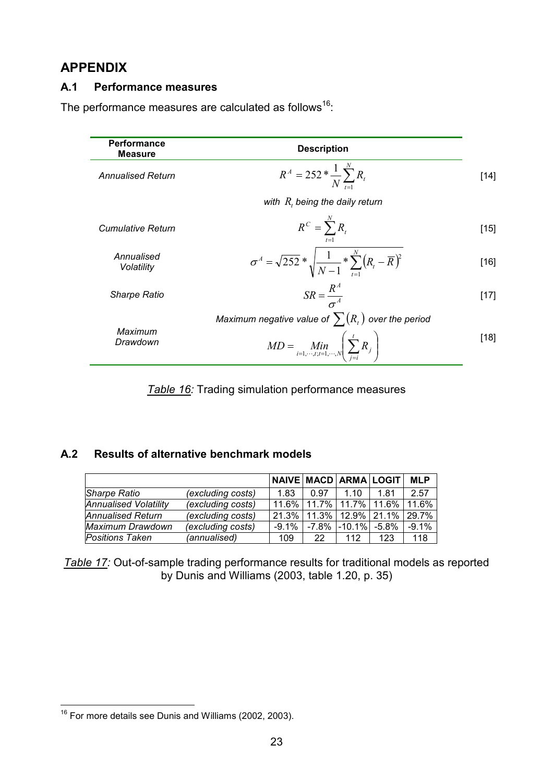## APPENDIX

#### A.1 Performance measures

The performance measures are calculated as follows<sup>16</sup>:

| Performance<br><b>Measure</b> | <b>Description</b>                                                                   |  |
|-------------------------------|--------------------------------------------------------------------------------------|--|
| <b>Annualised Return</b>      | $R^{A} = 252 * \frac{1}{N} \sum_{i=1}^{N} R_{i}$                                     |  |
|                               | with $R_i$ , being the daily return                                                  |  |
| <b>Cumulative Return</b>      | $R^C = \sum_{t=1}^{N} R_t$                                                           |  |
| Annualised<br>Volatility      | $\sigma^A = \sqrt{252} * \sqrt{\frac{1}{N-1}} * \sum_{i=1}^N (R_i - \overline{R})^2$ |  |
| <b>Sharpe Ratio</b>           | $SR = \frac{R^A}{\sigma^A}$                                                          |  |
|                               | Maximum negative value of $\sum (R_t)$ over the period                               |  |
| Maximum<br>Drawdown           | $MD = \lim_{i=1,\cdots,t; t=1,\cdots,N} \left( \sum_{i=i}^{t} R_i \right)$           |  |

Table 16: Trading simulation performance measures

### A.2 Results of alternative benchmark models

|                       |                   |         |       |             | NAIVE MACD ARMA LOGIT         | <b>MLP</b> |
|-----------------------|-------------------|---------|-------|-------------|-------------------------------|------------|
| Sharpe Ratio          | (excluding costs) | 1.83    | 0.97  | 1.10        | 1.81                          | 2.57       |
| Annualised Volatility | (excluding costs) |         |       |             | 11.6%   11.7%   11.7%   11.6% | 11.6%      |
| Annualised Return     | (excluding costs) |         |       |             | 21.3%   11.3%   12.9%   21.1% | 29.7%      |
| Maximum Drawdown      | (excluding costs) | $-9.1%$ | -7.8% | $ -10.1\% $ | -5.8%                         | $-9.1\%$   |
| Positions Taken       | (annualised)      | 109     | 22    | 112         | 123                           | 118        |

Table 17: Out-of-sample trading performance results for traditional models as reported by Dunis and Williams (2003, table 1.20, p. 35)

 $\overline{a}$  $16$  For more details see Dunis and Williams (2002, 2003).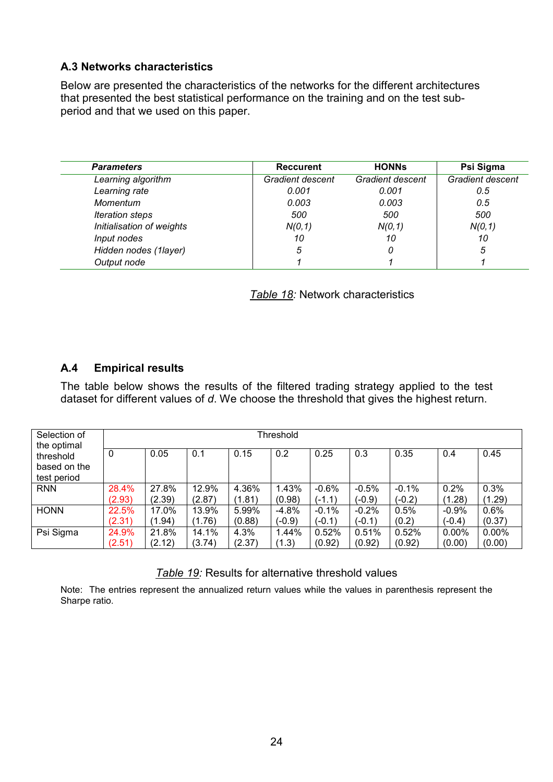### A.3 Networks characteristics

Below are presented the characteristics of the networks for the different architectures that presented the best statistical performance on the training and on the test subperiod and that we used on this paper.

| <b>Parameters</b>         | <b>Reccurent</b> | <b>HONNS</b>     | Psi Sigma               |
|---------------------------|------------------|------------------|-------------------------|
| Learning algorithm        | Gradient descent | Gradient descent | <b>Gradient descent</b> |
| Learning rate             | 0.001            | 0.001            | 0.5                     |
| Momentum                  | 0.003            | 0.003            | 0.5                     |
| <b>Iteration steps</b>    | 500              | 500              | 500                     |
| Initialisation of weights | N(0, 1)          | N(0, 1)          | N(0, 1)                 |
| Input nodes               | 10               | 10               | 10                      |
| Hidden nodes (1layer)     | 5                |                  | 5                       |
| Output node               |                  |                  |                         |

Table 18: Network characteristics

### A.4 Empirical results

The table below shows the results of the filtered trading strategy applied to the test dataset for different values of d. We choose the threshold that gives the highest return.

| Selection of<br>the optimal |             |        |        |        | Threshold |          |          |          |          |        |
|-----------------------------|-------------|--------|--------|--------|-----------|----------|----------|----------|----------|--------|
| threshold                   | $\mathbf 0$ | 0.05   | 0.1    | 0.15   | 0.2       | 0.25     | 0.3      | 0.35     | 0.4      | 0.45   |
| based on the<br>test period |             |        |        |        |           |          |          |          |          |        |
| <b>RNN</b>                  | 28.4%       | 27.8%  | 12.9%  | 4.36%  | 1.43%     | $-0.6%$  | $-0.5%$  | $-0.1%$  | 0.2%     | 0.3%   |
|                             | (2.93)      | (2.39) | (2.87) | (1.81) | (0.98)    | $(-1.1)$ | $(-0.9)$ | $(-0.2)$ | (1.28)   | (1.29) |
| <b>HONN</b>                 | 22.5%       | 17.0%  | 13.9%  | 5.99%  | $-4.8\%$  | $-0.1%$  | $-0.2%$  | 0.5%     | $-0.9%$  | 0.6%   |
|                             | (2.31)      | (1.94) | (1.76) | (0.88) | (-0.9)    | (-0.1)   | $(-0.1)$ | (0.2)    | $(-0.4)$ | (0.37) |
| Psi Sigma                   | 24.9%       | 21.8%  | 14.1%  | 4.3%   | 1.44%     | 0.52%    | 0.51%    | 0.52%    | $0.00\%$ | 0.00%  |
|                             | (2.51)      | (2.12) | (3.74) | (2.37) | (1.3)     | (0.92)   | (0.92)   | (0.92)   | (0.00)   | (0.00) |

Table 19: Results for alternative threshold values

Note: The entries represent the annualized return values while the values in parenthesis represent the Sharpe ratio.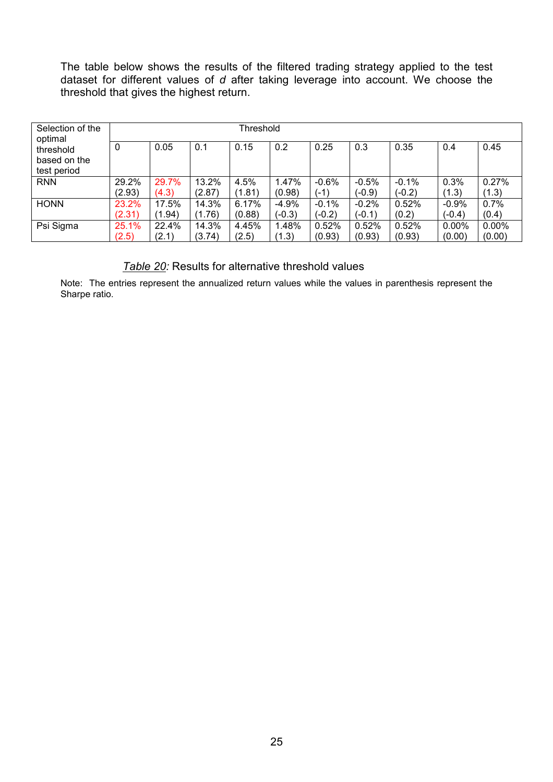The table below shows the results of the filtered trading strategy applied to the test dataset for different values of d after taking leverage into account. We choose the threshold that gives the highest return.

| Selection of the<br>optimal              | Threshold |        |        |        |          |          |         |         |          |        |
|------------------------------------------|-----------|--------|--------|--------|----------|----------|---------|---------|----------|--------|
| threshold<br>based on the<br>test period | 0         | 0.05   | 0.1    | 0.15   | 0.2      | 0.25     | 0.3     | 0.35    | 0.4      | 0.45   |
| <b>RNN</b>                               | 29.2%     | 29.7%  | 13.2%  | 4.5%   | 1.47%    | $-0.6%$  | $-0.5%$ | $-0.1%$ | 0.3%     | 0.27%  |
|                                          | (2.93)    | (4.3)  | (2.87) | (1.81) | (0.98)   | $(-1)$   | (-0.9)  | (-0.2)  | (1.3)    | (1.3)  |
| <b>HONN</b>                              | 23.2%     | 17.5%  | 14.3%  | 6.17%  | $-4.9%$  | $-0.1%$  | $-0.2%$ | 0.52%   | $-0.9%$  | 0.7%   |
|                                          | (2.31)    | (1.94) | (1.76) | (0.88) | $(-0.3)$ | $(-0.2)$ | (-0.1)  | (0.2)   | $(-0.4)$ | (0.4)  |
| Psi Sigma                                | 25.1%     | 22.4%  | 14.3%  | 4.45%  | 1.48%    | 0.52%    | 0.52%   | 0.52%   | $0.00\%$ | 0.00%  |
|                                          | (2.5)     | (2.1)  | (3.74) | (2.5)  | (1.3)    | (0.93)   | (0.93)  | (0.93)  | (0.00)   | (0.00) |

#### Table 20: Results for alternative threshold values

Note: The entries represent the annualized return values while the values in parenthesis represent the Sharpe ratio.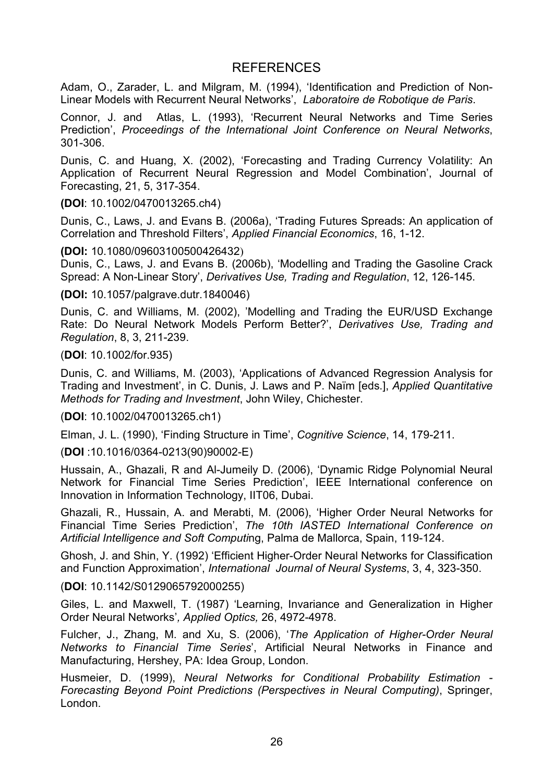## REFERENCES

Adam, O., Zarader, L. and Milgram, M. (1994), 'Identification and Prediction of Non-Linear Models with Recurrent Neural Networks', Laboratoire de Robotique de Paris.

Connor, J. and Atlas, L. (1993), 'Recurrent Neural Networks and Time Series Prediction', Proceedings of the International Joint Conference on Neural Networks, 301-306.

Dunis, C. and Huang, X. (2002), 'Forecasting and Trading Currency Volatility: An Application of Recurrent Neural Regression and Model Combination', Journal of Forecasting, 21, 5, 317-354.

(DOI: 10.1002/0470013265.ch4)

Dunis, C., Laws, J. and Evans B. (2006a), 'Trading Futures Spreads: An application of Correlation and Threshold Filters', Applied Financial Economics, 16, 1-12.

(DOI: 10.1080/09603100500426432)

Dunis, C., Laws, J. and Evans B. (2006b), 'Modelling and Trading the Gasoline Crack Spread: A Non-Linear Story', Derivatives Use, Trading and Regulation, 12, 126-145.

(DOI: 10.1057/palgrave.dutr.1840046)

Dunis, C. and Williams, M. (2002), 'Modelling and Trading the EUR/USD Exchange Rate: Do Neural Network Models Perform Better?', Derivatives Use, Trading and Regulation, 8, 3, 211-239.

(DOI: 10.1002/for.935)

Dunis, C. and Williams, M. (2003), 'Applications of Advanced Regression Analysis for Trading and Investment', in C. Dunis, J. Laws and P. Naïm [eds.], Applied Quantitative Methods for Trading and Investment, John Wiley, Chichester.

(DOI: 10.1002/0470013265.ch1)

Elman, J. L. (1990), 'Finding Structure in Time', Cognitive Science, 14, 179-211.

(DOI :10.1016/0364-0213(90)90002-E)

Hussain, A., Ghazali, R and Al-Jumeily D. (2006), 'Dynamic Ridge Polynomial Neural Network for Financial Time Series Prediction', IEEE International conference on Innovation in Information Technology, IIT06, Dubai.

Ghazali, R., Hussain, A. and Merabti, M. (2006), 'Higher Order Neural Networks for Financial Time Series Prediction', The 10th IASTED International Conference on Artificial Intelligence and Soft Computing, Palma de Mallorca, Spain, 119-124.

Ghosh, J. and Shin, Y. (1992) 'Efficient Higher-Order Neural Networks for Classification and Function Approximation', International Journal of Neural Systems, 3, 4, 323-350.

(DOI: 10.1142/S0129065792000255)

Giles, L. and Maxwell, T. (1987) 'Learning, Invariance and Generalization in Higher Order Neural Networks', Applied Optics, 26, 4972-4978.

Fulcher, J., Zhang, M. and Xu, S. (2006), 'The Application of Higher-Order Neural Networks to Financial Time Series', Artificial Neural Networks in Finance and Manufacturing, Hershey, PA: Idea Group, London.

Husmeier, D. (1999), Neural Networks for Conditional Probability Estimation -Forecasting Beyond Point Predictions (Perspectives in Neural Computing), Springer, London.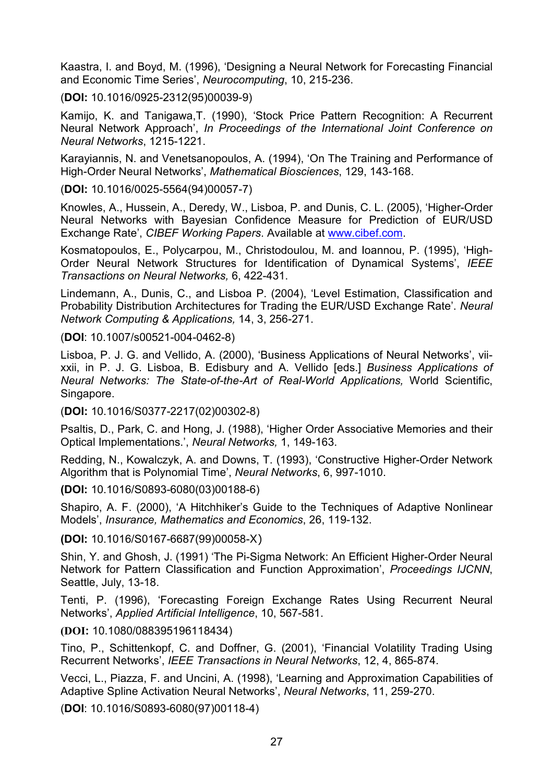Kaastra, I. and Boyd, M. (1996), 'Designing a Neural Network for Forecasting Financial and Economic Time Series', Neurocomputing, 10, 215-236.

(DOI: 10.1016/0925-2312(95)00039-9)

Kamijo, K. and Tanigawa,T. (1990), 'Stock Price Pattern Recognition: A Recurrent Neural Network Approach', In Proceedings of the International Joint Conference on Neural Networks, 1215-1221.

Karayiannis, N. and Venetsanopoulos, A. (1994), 'On The Training and Performance of High-Order Neural Networks', Mathematical Biosciences, 129, 143-168.

(DOI: 10.1016/0025-5564(94)00057-7)

Knowles, A., Hussein, A., Deredy, W., Lisboa, P. and Dunis, C. L. (2005), 'Higher-Order Neural Networks with Bayesian Confidence Measure for Prediction of EUR/USD Exchange Rate', CIBEF Working Papers. Available at www.cibef.com.

Kosmatopoulos, E., Polycarpou, M., Christodoulou, M. and Ioannou, P. (1995), 'High-Order Neural Network Structures for Identification of Dynamical Systems', IEEE Transactions on Neural Networks, 6, 422-431.

Lindemann, A., Dunis, C., and Lisboa P. (2004), 'Level Estimation, Classification and Probability Distribution Architectures for Trading the EUR/USD Exchange Rate'. Neural Network Computing & Applications, 14, 3, 256-271.

(DOI: 10.1007/s00521-004-0462-8)

Lisboa, P. J. G. and Vellido, A. (2000), 'Business Applications of Neural Networks', viixxii, in P. J. G. Lisboa, B. Edisbury and A. Vellido [eds.] Business Applications of Neural Networks: The State-of-the-Art of Real-World Applications, World Scientific, Singapore.

(DOI: 10.1016/S0377-2217(02)00302-8)

Psaltis, D., Park, C. and Hong, J. (1988), 'Higher Order Associative Memories and their Optical Implementations.', Neural Networks, 1, 149-163.

Redding, N., Kowalczyk, A. and Downs, T. (1993), 'Constructive Higher-Order Network Algorithm that is Polynomial Time', Neural Networks, 6, 997-1010.

(DOI: 10.1016/S0893-6080(03)00188-6)

Shapiro, A. F. (2000), 'A Hitchhiker's Guide to the Techniques of Adaptive Nonlinear Models', Insurance, Mathematics and Economics, 26, 119-132.

(DOI: 10.1016/S0167-6687(99)00058-X)

Shin, Y. and Ghosh, J. (1991) 'The Pi-Sigma Network: An Efficient Higher-Order Neural Network for Pattern Classification and Function Approximation', Proceedings IJCNN, Seattle, July, 13-18.

Tenti, P. (1996), 'Forecasting Foreign Exchange Rates Using Recurrent Neural Networks', Applied Artificial Intelligence, 10, 567-581.

(DOI: 10.1080/088395196118434)

Tino, P., Schittenkopf, C. and Doffner, G. (2001), 'Financial Volatility Trading Using Recurrent Networks', IEEE Transactions in Neural Networks, 12, 4, 865-874.

Vecci, L., Piazza, F. and Uncini, A. (1998), 'Learning and Approximation Capabilities of Adaptive Spline Activation Neural Networks', Neural Networks, 11, 259-270.

(DOI: 10.1016/S0893-6080(97)00118-4)